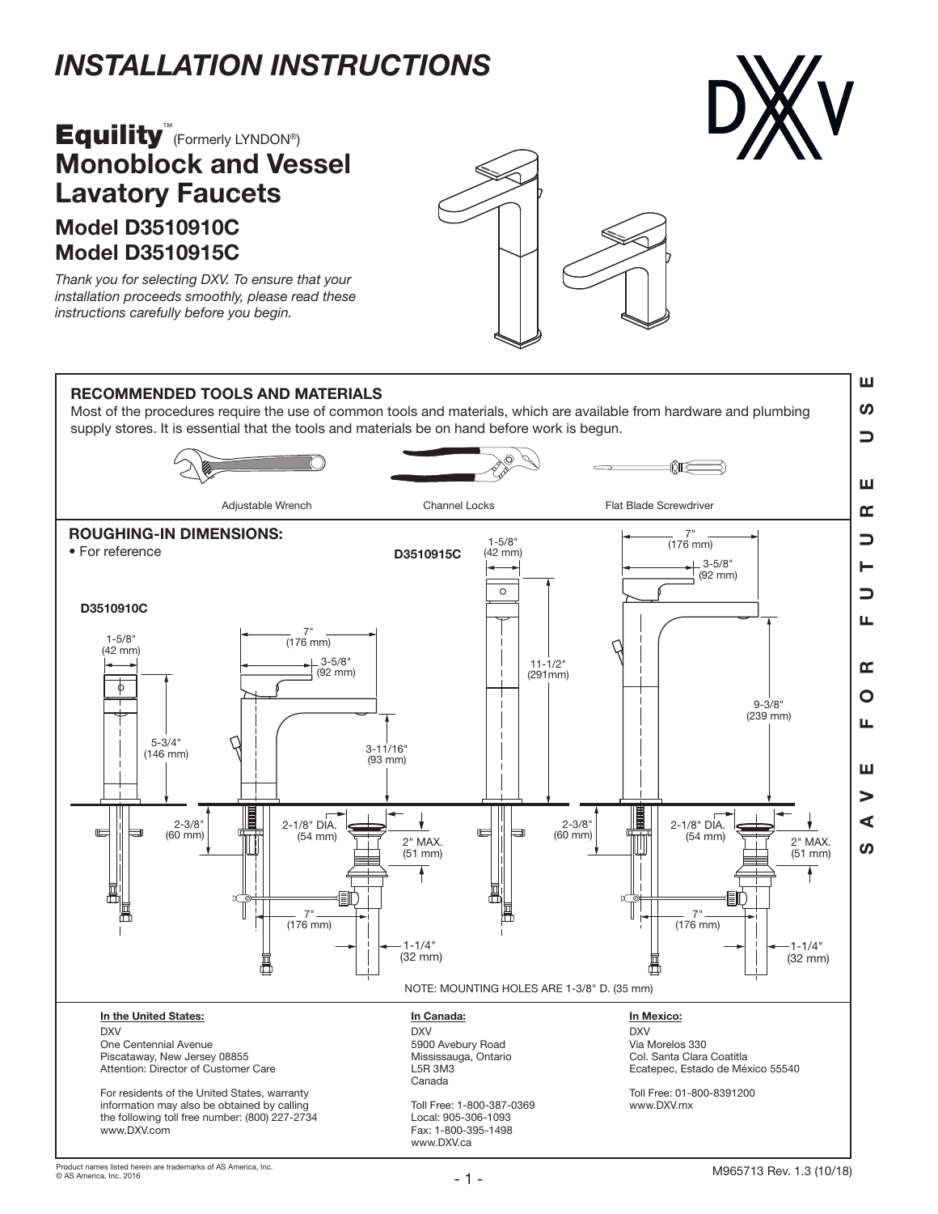# *INSTALLATION INSTRUCTIONS*

# Model D3510910C **Equility**<sup>™</sup> (Formerly LYNDON®) Monoblock and Vessel Lavatory Faucets



*Thank you for selecting DXV. To ensure that your installation proceeds smoothly, please read these instructions carefully before you begin.*



#### ш SAVE FOR FUTURE USE RECOMMENDED TOOLS AND MATERIALS ທ Most of the procedures require the use of common tools and materials, which are available from hardware and plumbing supply stores. It is essential that the tools and materials be on hand before work is begun.  $\Rightarrow$ ਨੇ⊪ਨ ш Adjustable Wrench **Channel Locks** Flat Blade Screwdriver œ ROUGHING-IN DIMENSIONS: 7"  $\overline{\phantom{0}}$ 1-5/8" (176 mm) • For reference D3510915C (42 mm) 3-5/8" н  $(92 \text{ mm})$  $\overline{\circ}$ コ D3510910C 7" (176 mm) 1-5/8" (42 mm)  $3 - 5/8$ 11-1/2"  $(92 \text{ mm})$ (291mm) 9-3/8" (239 mm) 5-3/4" 3-11/16" (146 mm) (93 mm) 2-3/8" (60 mm) 2-1/8" DIA.  $2 - 3/8"$  (60 mm) 2-1/8" DIA.  $\blacksquare$  $\overline{\mathbb{I}}$  $\blacksquare$  $\overline{\mathbf{r}}$ (54 mm) 2" MAX. 2" MAX. ທ (51 mm) (51 mm) d≣l 倡  $-7^{\circ}$   $-$  (176 mm)  $-7^{\circ}$   $-$  (176 mm) 1-1/4" 1-1/4" (32 mm) (32 mm) NOTE: MOUNTING HOLES ARE 1-3/8" D. (35 mm) In the United States: In Canada: In Mexico: DXV DXV DXV One Centennial Avenue 5900 Avebury Road Via Morelos 330 Piscataway, New Jersey 08855 Mississauga, Ontario Col. Santa Clara Coatitla Ecatepec, Estado de México 55540 Attention: Director of Customer Care L5R 3M3 Canada For residents of the United States, warranty Toll Free: 01-800-8391200 Toll Free: 1-800-387-0369 information may also be obtained by calling www.DXV.mx Local: 905-306-1093 the following toll free number: (800) 227-2734 Fax: 1-800-395-1498 www.DXV.com www.DXV.ca

ш.  $\mathbf{\underline{\alpha}}$ O u. Ш > ⋖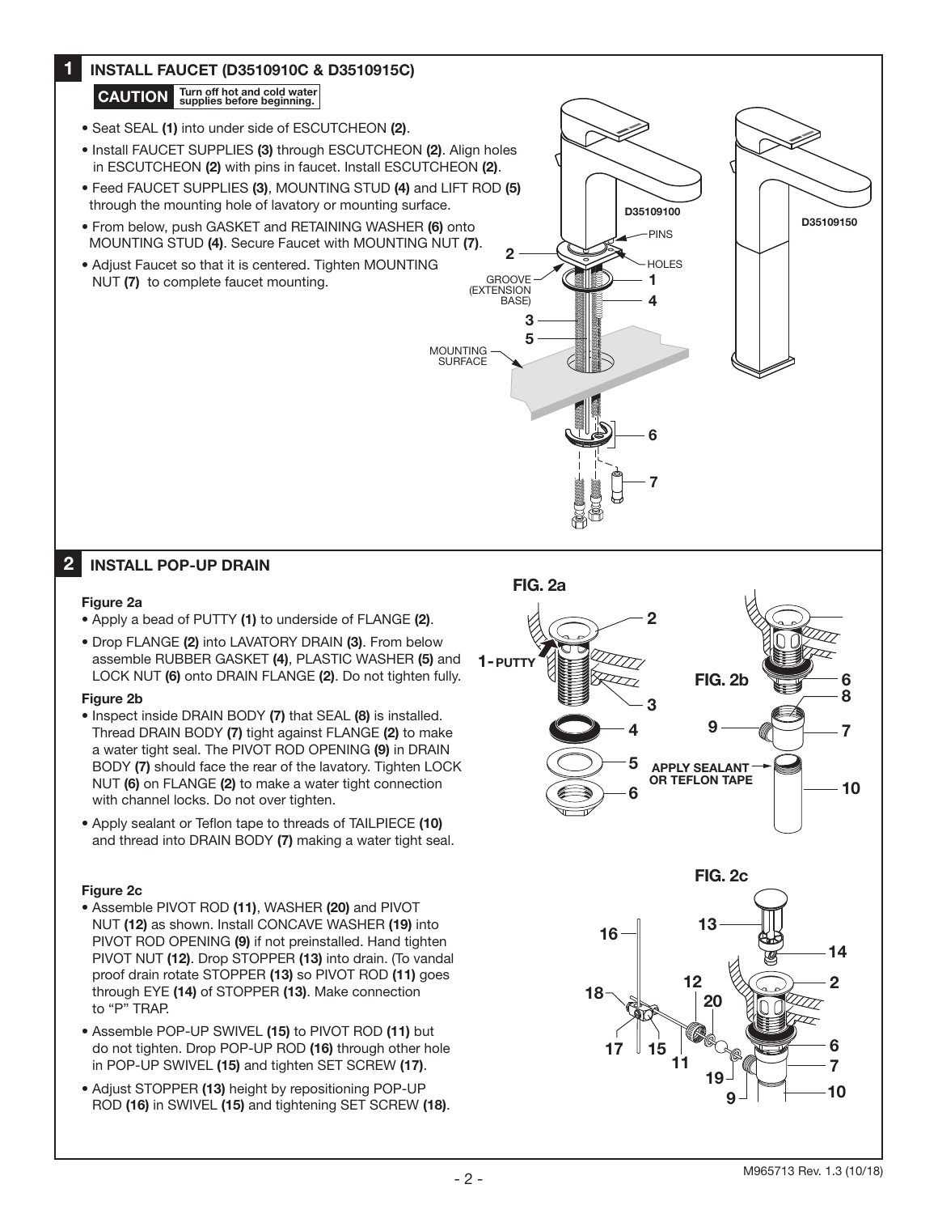### 6 4 3 5 1  $\overline{2}$ 7 GROOVE (EXTENSION BASE) HOLES PINS MOUNTING SURFACE D35109100 D35109150 1 2 • Seat SEAL (1) into under side of ESCUTCHEON (2). • Install FAUCET SUPPLIES (3) through ESCUTCHEON (2). Align holes in ESCUTCHEON (2) with pins in faucet. Install ESCUTCHEON (2). • Feed FAUCET SUPPLIES (3), MOUNTING STUD (4) and LIFT ROD (5) through the mounting hole of lavatory or mounting surface. • From below, push GASKET and RETAINING WASHER (6) onto MOUNTING STUD (4). Secure Faucet with MOUNTING NUT (7). • Adjust Faucet so that it is centered. Tighten MOUNTING NUT (7) to complete faucet mounting. Figure 2a • Apply a bead of PUTTY (1) to underside of FLANGE (2). • Drop FLANGE (2) into LAVATORY DRAIN (3). From below assemble RUBBER GASKET (4), PLASTIC WASHER (5) and LOCK NUT (6) onto DRAIN FLANGE (2). Do not tighten fully. Figure 2b • Inspect inside DRAIN BODY (7) that SEAL (8) is installed. Thread DRAIN BODY (7) tight against FLANGE (2) to make a water tight seal. The PIVOT ROD OPENING (9) in DRAIN BODY (7) should face the rear of the lavatory. Tighten LOCK NUT (6) on FLANGE (2) to make a water tight connection with channel locks. Do not over tighten. • Apply sealant or Teflon tape to threads of TAILPIECE (10) and thread into DRAIN BODY (7) making a water tight seal. Figure 2c • Assemble PIVOT ROD (11), WASHER (20) and PIVOT NUT (12) as shown. Install CONCAVE WASHER (19) into PIVOT ROD OPENING (9) if not preinstalled. Hand tighten PIVOT NUT (12). Drop STOPPER (13) into drain. (To vandal proof drain rotate STOPPER (13) so PIVOT ROD (11) goes through EYE (14) of STOPPER (13). Make connection to "P" TRAP. INSTALL FAUCET (D3510910C & D3510915C) INSTALL POP-UP DRAIN CAUTION Turn off hot and cold water APPLY SEALANT OR TEFLON TAPE FIG. 2a FIG. 2b FIG. 2c 4 3 2 1- PUTTY5 6 7 8 6 9 10 12 16  $18 \begin{array}{c|c} & 12 \ & -20 \ & & 2 \end{array}$ 14 13 20

- Assemble POP-UP SWIVEL (15) to PIVOT ROD (11) but do not tighten. Drop POP-UP ROD (16) through other hole in POP-UP SWIVEL (15) and tighten SET SCREW (17).
- Adjust STOPPER (13) height by repositioning POP-UP ROD (16) in SWIVEL (15) and tightening SET SCREW (18).

7 6

10

9

19

11

17  $\parallel$  15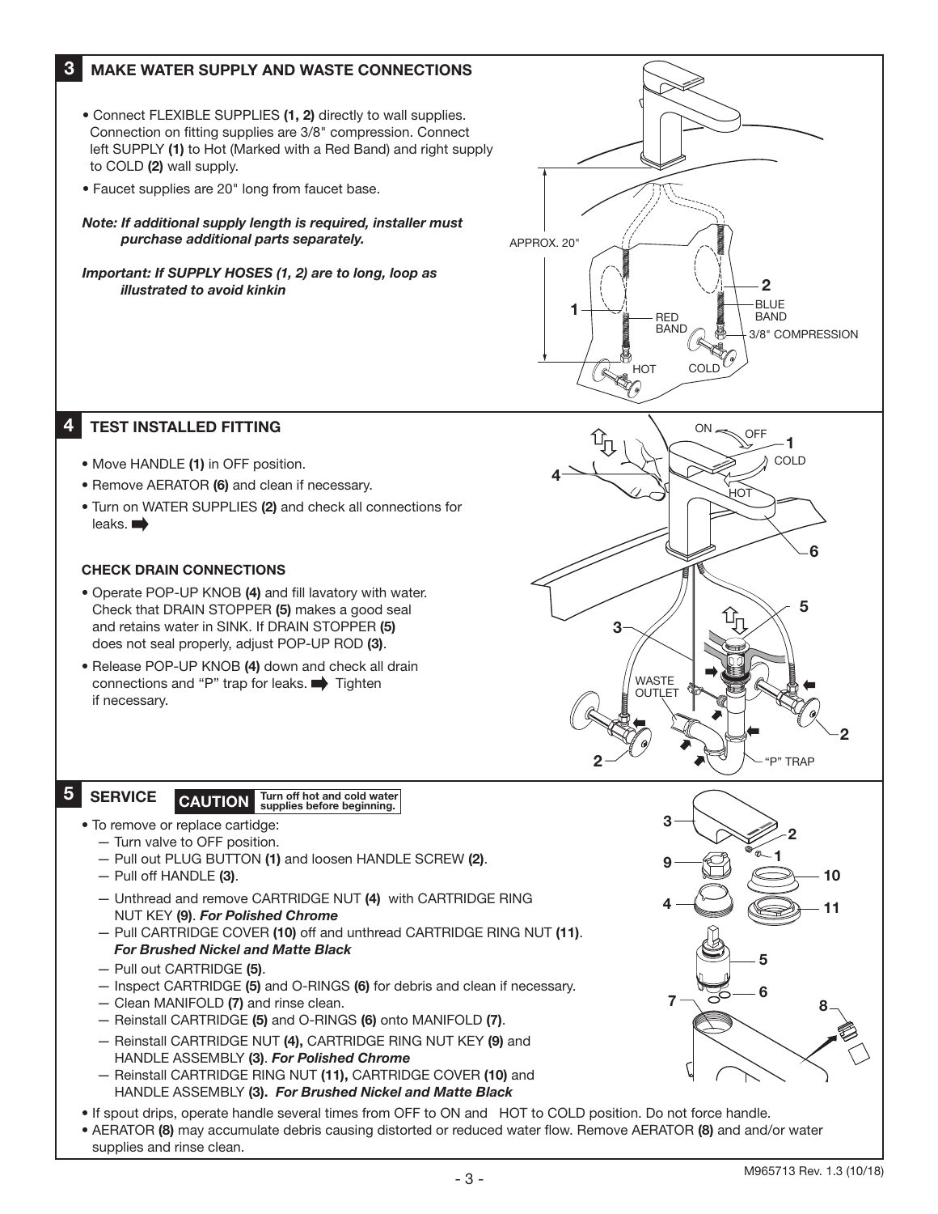#### 3 MAKE WATER SUPPLY AND WASTE CONNECTIONS

- Connect FLEXIBLE SUPPLIES (1, 2) directly to wall supplies. Connection on fitting supplies are 3/8" compression. Connect left SUPPLY (1) to Hot (Marked with a Red Band) and right supply to COLD (2) wall supply.
- Faucet supplies are 20" long from faucet base.

*Note: If additional supply length is required, installer must purchase additional parts separately.*

*Important: If SUPPLY HOSES (1, 2) are to long, loop as illustrated to avoid kinkin*



#### 4 TEST INSTALLED FITTING

- Move HANDLE (1) in OFF position.
- Remove AERATOR (6) and clean if necessary.
- Turn on WATER SUPPLIES (2) and check all connections for leaks.

### CHECK DRAIN CONNECTIONS

- Operate POP-UP KNOB (4) and fill lavatory with water. Check that DRAIN STOPPER (5) makes a good seal and retains water in SINK. If DRAIN STOPPER (5) does not seal properly, adjust POP-UP ROD (3).
- Release POP-UP KNOB (4) down and check all drain connections and "P" trap for leaks.  $\implies$  Tighten if necessary.



## 5

SERVICE CAUTION Turn off hot and cold water

- To remove or replace cartidge:
	- Turn valve to OFF position.
	- Pull out PLUG BUTTON (1) and loosen HANDLE SCREW (2).
	- Pull off HANDLE (3).
	- Unthread and remove CARTRIDGE NUT (4) with CARTRIDGE RING NUT KEY (9). *For Polished Chrome*
	- Pull CARTRIDGE COVER (10) off and unthread CARTRIDGE RING NUT (11). *For Brushed Nickel and Matte Black*
	- Pull out CARTRIDGE (5).
	- Inspect CARTRIDGE (5) and O-RINGS (6) for debris and clean if necessary.
	- Clean MANIFOLD (7) and rinse clean.
	- Reinstall CARTRIDGE (5) and O-RINGS (6) onto MANIFOLD (7).
	- Reinstall CARTRIDGE NUT (4), CARTRIDGE RING NUT KEY (9) and HANDLE ASSEMBLY (3). *For Polished Chrome*
	- Reinstall CARTRIDGE RING NUT (11), CARTRIDGE COVER (10) and HANDLE ASSEMBLY (3). *For Brushed Nickel and Matte Black*
- If spout drips, operate handle several times from OFF to ON and HOT to COLD position. Do not force handle.
- AERATOR (8) may accumulate debris causing distorted or reduced water flow. Remove AERATOR (8) and and/or water supplies and rinse clean.